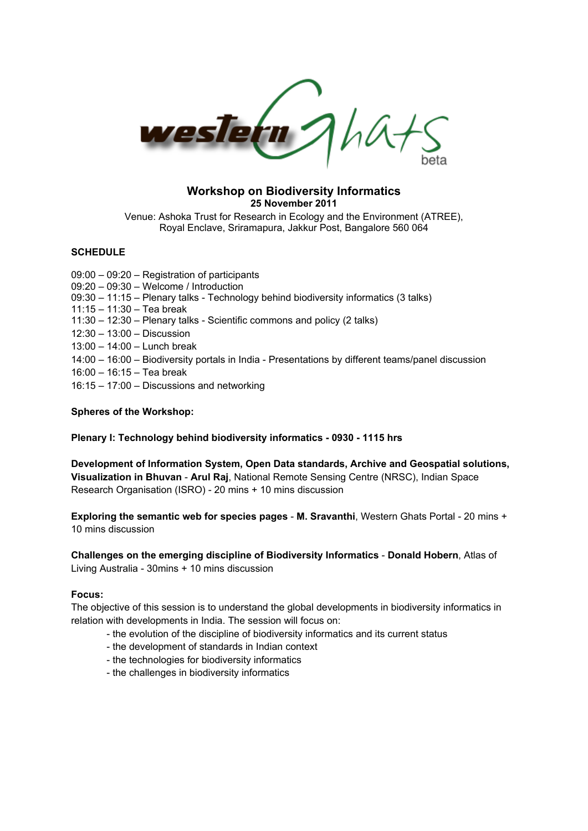

## **Workshop on Biodiversity Informatics 25 November 2011**

Venue: Ashoka Trust for Research in Ecology and the Environment (ATREE), Royal Enclave, Sriramapura, Jakkur Post, Bangalore 560 064

# **SCHEDULE**

09:00 – 09:20 – Registration of participants 09:20 – 09:30 – Welcome / Introduction 09:30 – 11:15 – Plenary talks - Technology behind biodiversity informatics (3 talks) 11:15 – 11:30 – Tea break 11:30 – 12:30 – Plenary talks - Scientific commons and policy (2 talks) 12:30 – 13:00 – Discussion 13:00 – 14:00 – Lunch break 14:00 – 16:00 – Biodiversity portals in India - Presentations by different teams/panel discussion 16:00 – 16:15 – Tea break 16:15 – 17:00 – Discussions and networking

# **Spheres of the Workshop:**

## **Plenary I: Technology behind biodiversity informatics - 0930 - 1115 hrs**

**Development of Information System, Open Data standards, Archive and Geospatial solutions, Visualization in Bhuvan** - **Arul Raj**, National Remote Sensing Centre (NRSC), Indian Space Research Organisation (ISRO) - 20 mins + 10 mins discussion

**Exploring the semantic web for species pages** - **M. Sravanthi**, Western Ghats Portal - 20 mins + 10 mins discussion

**Challenges on the emerging discipline of Biodiversity Informatics** - **Donald Hobern**, Atlas of Living Australia - 30mins + 10 mins discussion

## **Focus:**

The objective of this session is to understand the global developments in biodiversity informatics in relation with developments in India. The session will focus on:

- the evolution of the discipline of biodiversity informatics and its current status
- the development of standards in Indian context
- the technologies for biodiversity informatics
- the challenges in biodiversity informatics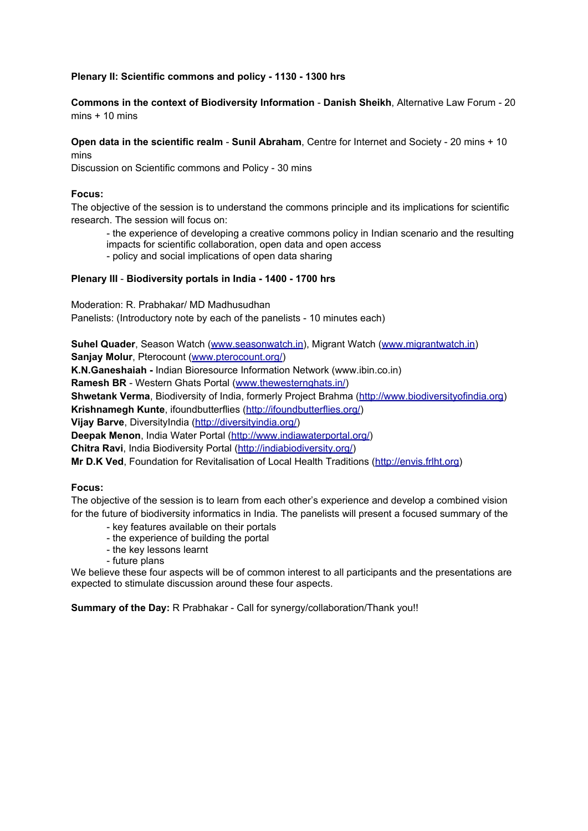# **Plenary II: Scientific commons and policy - 1130 - 1300 hrs**

**Commons in the context of Biodiversity Information** - **Danish Sheikh**, Alternative Law Forum - 20  $mins + 10 mins$ 

**Open data in the scientific realm** - **Sunil Abraham**, Centre for Internet and Society - 20 mins + 10 mins

Discussion on Scientific commons and Policy - 30 mins

#### **Focus:**

The objective of the session is to understand the commons principle and its implications for scientific research. The session will focus on:

- the experience of developing a creative commons policy in Indian scenario and the resulting impacts for scientific collaboration, open data and open access

- policy and social implications of open data sharing

#### **Plenary III** - **Biodiversity portals in India - 1400 - 1700 hrs**

Moderation: R. Prabhakar/ MD Madhusudhan

Panelists: (Introductory note by each of the panelists - 10 minutes each)

**Suhel Quader**, Season Watch ([www.seasonwatch.in](http://www.seasonwatch.in/)), Migrant Watch ([www.migrantwatch.in](http://www.migrantwatch.in/)) **Sanjay Molur**, Pterocount [\(www.pterocount.org/\)](http://www.pterocount.org/)

**K.N.Ganeshaiah -** Indian Bioresource Information Network (www.ibin.co.in)

**Ramesh BR** - Western Ghats Portal ([www.thewesternghats.in/\)](http://www.thewesternghats.in/)

**Shwetank Verma**, Biodiversity of India, formerly Project Brahma ([http://www.biodiversityofindia.org\)](http://www.biodiversityofindia.org/)

**Krishnamegh Kunte**, ifoundbutterflies [\(http://ifoundbutterflies.org/\)](http://ifoundbutterflies.org/)

**Vijay Barve**, DiversityIndia (<http://diversityindia.org/>)

**Deepak Menon**, India Water Portal [\(http://www.indiawaterportal.org/](http://www.indiawaterportal.org/))

**Chitra Ravi**, India Biodiversity Portal (<http://indiabiodiversity.org/>)

**Mr D.K Ved**, Foundation for Revitalisation of Local Health Traditions ([http://envis.frlht.org\)](http://envis.frlht.org)

#### **Focus:**

The objective of the session is to learn from each other's experience and develop a combined vision for the future of biodiversity informatics in India. The panelists will present a focused summary of the

- key features available on their portals
- the experience of building the portal
- the key lessons learnt
- future plans

We believe these four aspects will be of common interest to all participants and the presentations are expected to stimulate discussion around these four aspects.

**Summary of the Day:** R Prabhakar - Call for synergy/collaboration/Thank you!!